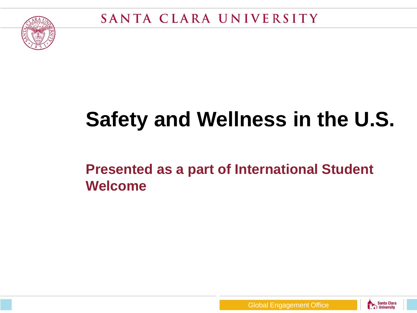

# **Safety and Wellness in the U.S.**

#### **Presented as a part of International Student Welcome**



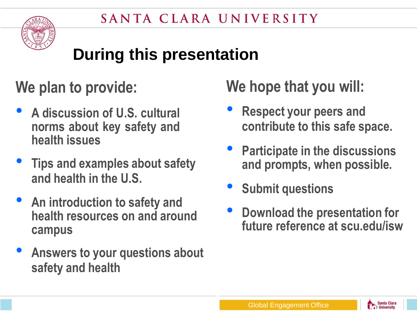

### **During this presentation**

#### **We plan to provide:**

- **<sup>A</sup> discussion of U.S. cultural norms about key safety and health issues**
- **Tips and examples about safety and health in the U.S.**
- **An introduction to safety and health resources on and around campus**
- **Answers to your questions about safety and health**

#### **We hope that you will:**

- **Respect your peers and contribute to this safe space.**
- **Participate in the discussions and prompts, when possible.**
- **Submit questions**
- **Download the presentation for future reference at scu.edu/isw**

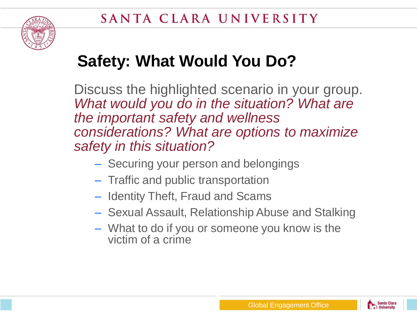

### **Safety: What Would You Do?**

Discuss the highlighted scenario in your group. *What would you do in the situation? What are the important safety and wellness considerations? What are options to maximize safety in this situation?*

- Securing your person and belongings
- Traffic and public transportation
- Identity Theft, Fraud and Scams
- Sexual Assault, Relationship Abuse and Stalking
- What to do if you or someone you know is the victim of a crime

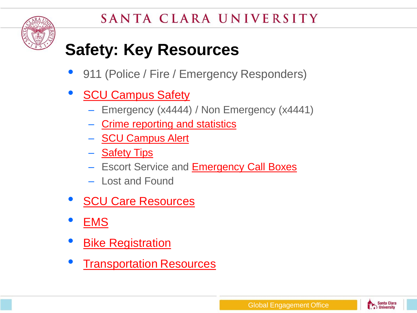

### **Safety: Key Resources**

- 911 (Police / Fire / Emergency Responders)
- **[SCU Campus](https://university-operations.scu.edu/campus-safety/campus-safety/crime-reporting/) [Safety](https://university-operations.scu.edu/campus-safety/campus-safety/crime-reporting/)** 
	- Emergency (x4444) / Non Emergency (x4441)
	- [Crime](https://university-operations.scu.edu/campus-safety/campus-safety/crime-reporting/) [reporting](https://university-operations.scu.edu/campus-safety/campus-safety/crime-reporting/) [and](https://university-operations.scu.edu/campus-safety/campus-safety/crime-reporting/) [statistics](https://university-operations.scu.edu/campus-safety/campus-safety/crime-reporting/)
	- [SCU](https://university-operations.scu.edu/campus-safety/emergency-planning/scu-campus-alert/) [Campus](https://university-operations.scu.edu/campus-safety/emergency-planning/scu-campus-alert/) [Alert](https://university-operations.scu.edu/campus-safety/emergency-planning/scu-campus-alert/)
	- [Safety Tips](https://university-operations.scu.edu/campus-safety/campus-safety/crime-prevention/)
	- Escort Service and [Emergency](https://university-operations.scu.edu/campus-safety/emergency-planning/emergency-phones/) [Call](https://university-operations.scu.edu/campus-safety/emergency-planning/emergency-phones/) [Boxes](https://university-operations.scu.edu/campus-safety/emergency-planning/emergency-phones/)
	- Lost and Found
- [SCU Care](https://www.scu.edu/osl/scu-care) [Resources](https://www.scu.edu/osl/scu-care)
- [EMS](https://www.scu.edu/cowell/emergency-medical-services/)
- **[Bike Registration](http://www.nationalbikeregistry.com/)**
- **[Transportation](https://www.scu.edu/sustainability/operations/transportation/) [Resources](https://www.scu.edu/sustainability/operations/transportation/)**

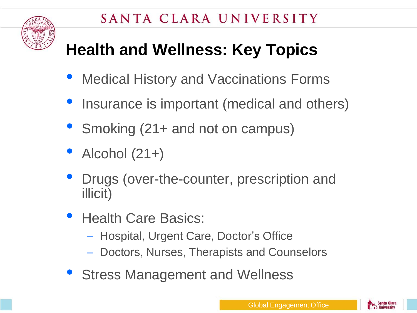

## **Health and Wellness: Key Topics**

- Medical History and Vaccinations Forms
- Insurance is important (medical and others)
- Smoking (21+ and not on campus)
- Alcohol (21+)
- Drugs (over-the-counter, prescription and illicit)
- Health Care Basics:
	- Hospital, Urgent Care, Doctor's Office
	- Doctors, Nurses, Therapists and Counselors
- **Stress Management and Wellness**

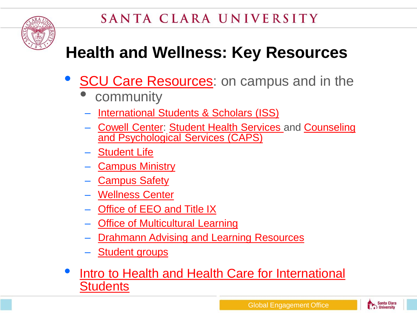

### **Health and Wellness: Key Resources**

- **[SCU](https://www.scu.edu/osl/scu-care) [Care](https://www.scu.edu/osl/scu-care) [Resources](https://www.scu.edu/osl/scu-care): on campus and in the** 
	- **community**
	- **[International](https://www.scu.edu/globalengagement/international-students/) [Students](https://www.scu.edu/globalengagement/international-students/) [& Scholars](https://www.scu.edu/globalengagement/international-students/) [\(ISS\)](https://www.scu.edu/globalengagement/international-students/)**
	- [Cowell](https://www.scu.edu/cowell) [Center:](https://www.scu.edu/cowell) [Student](https://www.scu.edu/cowell/student-health-services-shs/) [Health](https://www.scu.edu/cowell/student-health-services-shs/) [Services](https://www.scu.edu/cowell/student-health-services-shs/) and [Counseling](https://www.scu.edu/cowell/caps/) [and](https://www.scu.edu/cowell/caps/) [Psychological](https://www.scu.edu/cowell/caps/) [Services](https://www.scu.edu/cowell/caps/) [\(CAPS\)](https://www.scu.edu/cowell/caps/)
	- [Student](https://www.scu.edu/osl/) [Life](https://www.scu.edu/osl/)
	- **[Campus](https://www.scu.edu/cm/) [Ministry](https://www.scu.edu/cm/)**
	- **[Campus](https://university-operations.scu.edu/campus-safety/campus-safety/crime-reporting/) [Safety](https://university-operations.scu.edu/campus-safety/campus-safety/crime-reporting/)**
	- [Wellness](https://www.scu.edu/wellness/) [Center](https://www.scu.edu/wellness/)
	- **[Office](https://www.scu.edu/title-ix/) [of EEO and](https://www.scu.edu/title-ix/) [Title](https://www.scu.edu/title-ix/) [IX](https://www.scu.edu/title-ix/)**
	- **[Office](https://www.scu.edu/oml/) [of Multicultural](https://www.scu.edu/oml/) [Learning](https://www.scu.edu/oml/)**
	- **[Drahmann](https://www.scu.edu/drahmann/) [Advising](https://www.scu.edu/drahmann/) [and](https://www.scu.edu/drahmann/) [Learning](https://www.scu.edu/drahmann/) [Resources](https://www.scu.edu/drahmann/)**
	- [Student](https://www.scu.edu/csi/organizations/) [groups](https://www.scu.edu/csi/organizations/)
- [Intro](https://www.nafsa.org/Professional_Resources/Browse_by_Interest/International_Students_and_Scholars/Network_Resources/International_Student_and_Scholar_Services/Health_Insurance_and_Health_Care_for_Your_International_Students_and_Scholars/) [to Health and](https://www.nafsa.org/Professional_Resources/Browse_by_Interest/International_Students_and_Scholars/Network_Resources/International_Student_and_Scholar_Services/Health_Insurance_and_Health_Care_for_Your_International_Students_and_Scholars/) [Health](https://www.nafsa.org/Professional_Resources/Browse_by_Interest/International_Students_and_Scholars/Network_Resources/International_Student_and_Scholar_Services/Health_Insurance_and_Health_Care_for_Your_International_Students_and_Scholars/) [Care](https://www.nafsa.org/Professional_Resources/Browse_by_Interest/International_Students_and_Scholars/Network_Resources/International_Student_and_Scholar_Services/Health_Insurance_and_Health_Care_for_Your_International_Students_and_Scholars/) [for International](https://www.nafsa.org/Professional_Resources/Browse_by_Interest/International_Students_and_Scholars/Network_Resources/International_Student_and_Scholar_Services/Health_Insurance_and_Health_Care_for_Your_International_Students_and_Scholars/) [Students](https://www.nafsa.org/Professional_Resources/Browse_by_Interest/International_Students_and_Scholars/Network_Resources/International_Student_and_Scholar_Services/Health_Insurance_and_Health_Care_for_Your_International_Students_and_Scholars/)